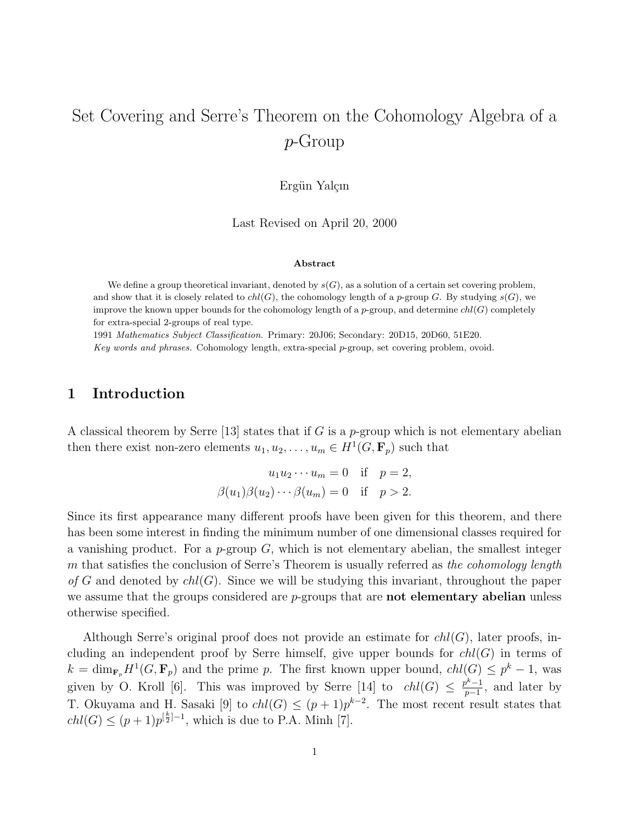# Set Covering and Serre's Theorem on the Cohomology Algebra of a p-Group

Ergün Yalcın

Last Revised on April 20, 2000

#### Abstract

We define a group theoretical invariant, denoted by  $s(G)$ , as a solution of a certain set covering problem, and show that it is closely related to  $ch(G)$ , the cohomology length of a p-group G. By studying  $s(G)$ , we improve the known upper bounds for the cohomology length of a p-group, and determine  $ch(G)$  completely for extra-special 2-groups of real type.

1991 Mathematics Subject Classification. Primary: 20J06; Secondary: 20D15, 20D60, 51E20.

Key words and phrases. Cohomology length, extra-special p-group, set covering problem, ovoid.

# 1 Introduction

A classical theorem by Serre [13] states that if G is a p-group which is not elementary abelian then there exist non-zero elements  $u_1, u_2, \ldots, u_m \in H^1(G, \mathbf{F}_p)$  such that

$$
u_1 u_2 \cdots u_m = 0 \quad \text{if} \quad p = 2,
$$
  

$$
\beta(u_1)\beta(u_2)\cdots\beta(u_m) = 0 \quad \text{if} \quad p > 2.
$$

Since its first appearance many different proofs have been given for this theorem, and there has been some interest in finding the minimum number of one dimensional classes required for a vanishing product. For a  $p$ -group  $G$ , which is not elementary abelian, the smallest integer m that satisfies the conclusion of Serre's Theorem is usually referred as the cohomology length of G and denoted by  $ch(G)$ . Since we will be studying this invariant, throughout the paper we assume that the groups considered are  $p$ -groups that are **not elementary abelian** unless otherwise specified.

Although Serre's original proof does not provide an estimate for  $ch(G)$ , later proofs, including an independent proof by Serre himself, give upper bounds for  $ch(G)$  in terms of  $k = \dim_{\mathbf{F}_p} H^1(G, \mathbf{F}_p)$  and the prime p. The first known upper bound,  $chl(G) \leq p^k - 1$ , was given by O. Kroll [6]. This was improved by Serre [14] to  $chl(G) \leq \frac{p^k-1}{n-1}$  $\frac{p^{n}-1}{p-1}$ , and later by T. Okuyama and H. Sasaki [9] to  $ch(G) \leq (p+1)p^{k-2}$ . The most recent result states that  $chl(G) \leq (p+1)p^{[\frac{k}{2}]-1}$ , which is due to P.A. Minh [7].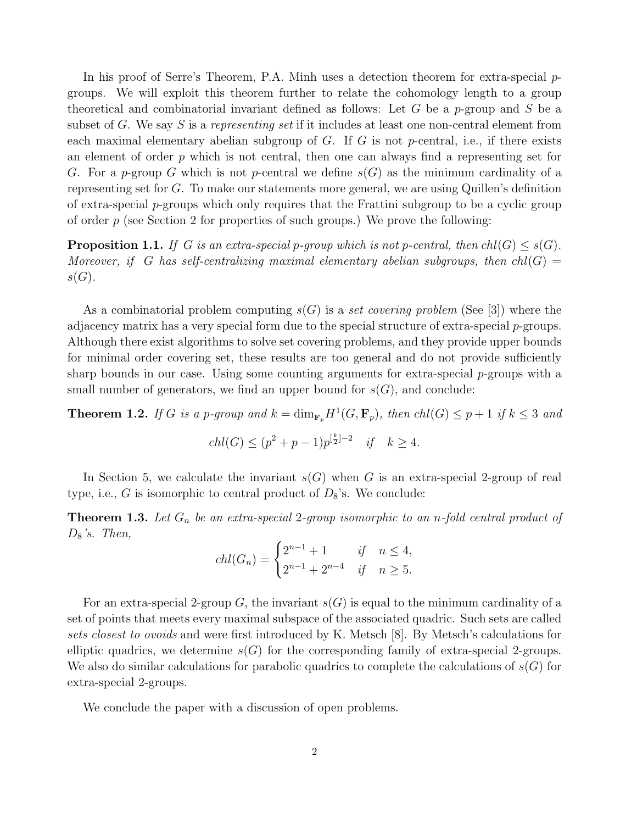In his proof of Serre's Theorem, P.A. Minh uses a detection theorem for extra-special  $p$ groups. We will exploit this theorem further to relate the cohomology length to a group theoretical and combinatorial invariant defined as follows: Let G be a p-group and S be a subset of G. We say S is a representing set if it includes at least one non-central element from each maximal elementary abelian subgroup of  $G$ . If  $G$  is not p-central, i.e., if there exists an element of order  $p$  which is not central, then one can always find a representing set for G. For a p-group G which is not p-central we define  $s(G)$  as the minimum cardinality of a representing set for G. To make our statements more general, we are using Quillen's definition of extra-special  $p$ -groups which only requires that the Frattini subgroup to be a cyclic group of order  $p$  (see Section 2 for properties of such groups.) We prove the following:

**Proposition 1.1.** If G is an extra-special p-group which is not p-central, then  $ch(G) \leq s(G)$ . Moreover, if G has self-centralizing maximal elementary abelian subgroups, then  $ch(G)$  $s(G).$ 

As a combinatorial problem computing  $s(G)$  is a set covering problem (See [3]) where the adjacency matrix has a very special form due to the special structure of extra-special  $p$ -groups. Although there exist algorithms to solve set covering problems, and they provide upper bounds for minimal order covering set, these results are too general and do not provide sufficiently sharp bounds in our case. Using some counting arguments for extra-special  $p$ -groups with a small number of generators, we find an upper bound for  $s(G)$ , and conclude:

**Theorem 1.2.** If G is a p-group and  $k = \dim_{\mathbf{F}_p} H^1(G, \mathbf{F}_p)$ , then  $ch(G) \leq p+1$  if  $k \leq 3$  and

$$
chl(G) \le (p^2 + p - 1)p^{\lceil \frac{k}{2} \rceil - 2} \quad \text{if} \quad k \ge 4.
$$

In Section 5, we calculate the invariant  $s(G)$  when G is an extra-special 2-group of real type, i.e., G is isomorphic to central product of  $D_8$ 's. We conclude:

**Theorem 1.3.** Let  $G_n$  be an extra-special 2-group isomorphic to an n-fold central product of  $D_8$ 's. Then,

$$
chl(G_n) = \begin{cases} 2^{n-1} + 1 & \text{if } n \le 4, \\ 2^{n-1} + 2^{n-4} & \text{if } n \ge 5. \end{cases}
$$

For an extra-special 2-group G, the invariant  $s(G)$  is equal to the minimum cardinality of a set of points that meets every maximal subspace of the associated quadric. Such sets are called sets closest to ovoids and were first introduced by K. Metsch [8]. By Metsch's calculations for elliptic quadrics, we determine  $s(G)$  for the corresponding family of extra-special 2-groups. We also do similar calculations for parabolic quadrics to complete the calculations of  $s(G)$  for extra-special 2-groups.

We conclude the paper with a discussion of open problems.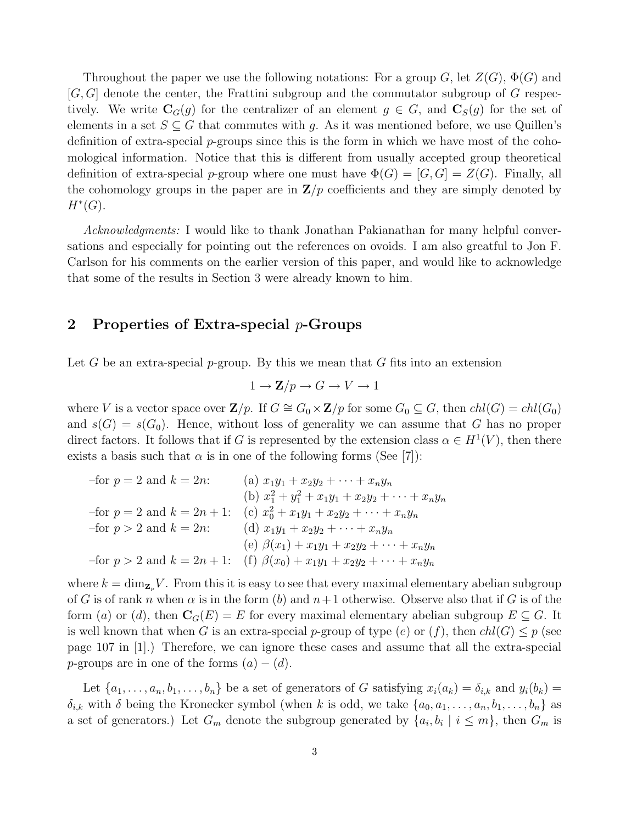Throughout the paper we use the following notations: For a group G, let  $Z(G)$ ,  $\Phi(G)$  and  $[G, G]$  denote the center, the Frattini subgroup and the commutator subgroup of G respectively. We write  $\mathbf{C}_G(g)$  for the centralizer of an element  $g \in G$ , and  $\mathbf{C}_S(g)$  for the set of elements in a set  $S \subseteq G$  that commutes with g. As it was mentioned before, we use Quillen's definition of extra-special  $p$ -groups since this is the form in which we have most of the cohomological information. Notice that this is different from usually accepted group theoretical definition of extra-special p-group where one must have  $\Phi(G) = [G, G] = Z(G)$ . Finally, all the cohomology groups in the paper are in  $\mathbf{Z}/p$  coefficients and they are simply denoted by  $H^*(G)$ .

Acknowledgments: I would like to thank Jonathan Pakianathan for many helpful conversations and especially for pointing out the references on ovoids. I am also greatful to Jon F. Carlson for his comments on the earlier version of this paper, and would like to acknowledge that some of the results in Section 3 were already known to him.

## 2 Properties of Extra-special  $p$ -Groups

Let G be an extra-special p-group. By this we mean that G fits into an extension

$$
1 \to \mathbf{Z}/p \to G \to V \to 1
$$

where V is a vector space over  $\mathbf{Z}/p$ . If  $G \cong G_0 \times \mathbf{Z}/p$  for some  $G_0 \subseteq G$ , then  $ch(G) = ch(G_0)$ and  $s(G) = s(G_0)$ . Hence, without loss of generality we can assume that G has no proper direct factors. It follows that if G is represented by the extension class  $\alpha \in H^1(V)$ , then there exists a basis such that  $\alpha$  is in one of the following forms (See [7]):

| -for $p = 2$ and $k = 2n$ :     | (a) $x_1y_1 + x_2y_2 + \cdots + x_ny_n$                 |
|---------------------------------|---------------------------------------------------------|
|                                 | (b) $x_1^2 + y_1^2 + x_1y_1 + x_2y_2 + \cdots + x_ny_n$ |
| -for $p = 2$ and $k = 2n + 1$ : | (c) $x_0^2 + x_1y_1 + x_2y_2 + \cdots + x_ny_n$         |
| -for $p > 2$ and $k = 2n$ :     | (d) $x_1y_1 + x_2y_2 + \cdots + x_ny_n$                 |
|                                 | (e) $\beta(x_1) + x_1y_1 + x_2y_2 + \cdots + x_ny_n$    |
| -for $p > 2$ and $k = 2n + 1$ : | (f) $\beta(x_0) + x_1y_1 + x_2y_2 + \cdots + x_ny_n$    |

where  $k = \dim_{\mathbf{Z}_p} V$ . From this it is easy to see that every maximal elementary abelian subgroup of G is of rank n when  $\alpha$  is in the form (b) and  $n+1$  otherwise. Observe also that if G is of the form (a) or (d), then  $\mathbf{C}_G(E) = E$  for every maximal elementary abelian subgroup  $E \subseteq G$ . It is well known that when G is an extra-special p-group of type (e) or  $(f)$ , then  $ch(G) \leq p$  (see page 107 in [1].) Therefore, we can ignore these cases and assume that all the extra-special p-groups are in one of the forms  $(a) - (d)$ .

Let  $\{a_1, \ldots, a_n, b_1, \ldots, b_n\}$  be a set of generators of G satisfying  $x_i(a_k) = \delta_{i,k}$  and  $y_i(b_k) =$  $\delta_{i,k}$  with  $\delta$  being the Kronecker symbol (when k is odd, we take  $\{a_0, a_1, \ldots, a_n, b_1, \ldots, b_n\}$  as a set of generators.) Let  $G_m$  denote the subgroup generated by  $\{a_i, b_i \mid i \leq m\}$ , then  $G_m$  is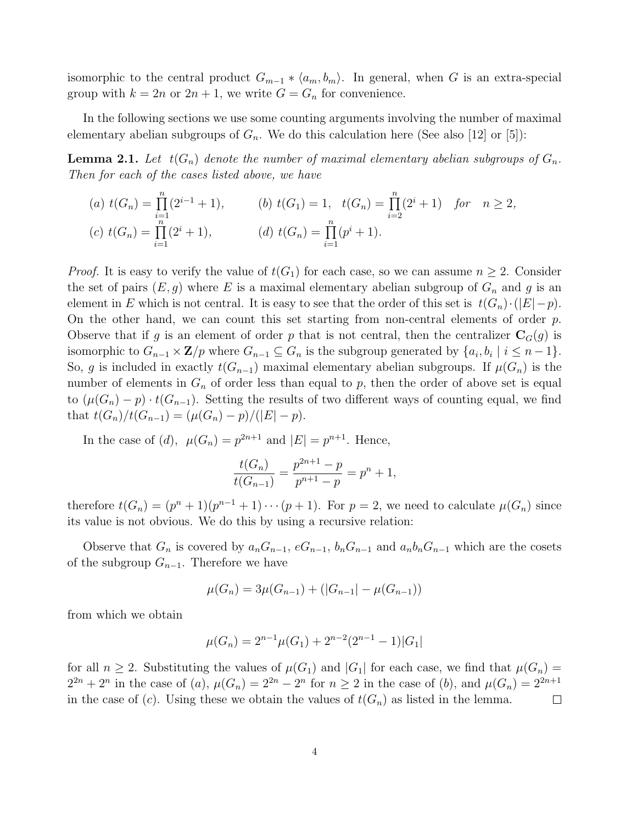isomorphic to the central product  $G_{m-1} * \langle a_m, b_m \rangle$ . In general, when G is an extra-special group with  $k = 2n$  or  $2n + 1$ , we write  $G = G_n$  for convenience.

In the following sections we use some counting arguments involving the number of maximal elementary abelian subgroups of  $G_n$ . We do this calculation here (See also [12] or [5]):

**Lemma 2.1.** Let  $t(G_n)$  denote the number of maximal elementary abelian subgroups of  $G_n$ . Then for each of the cases listed above, we have

(a) 
$$
t(G_n) = \prod_{i=1}^n (2^{i-1} + 1)
$$
,   
\n(b)  $t(G_1) = 1$ ,  $t(G_n) = \prod_{i=2}^n (2^i + 1)$  for  $n \ge 2$ ,  
\n(c)  $t(G_n) = \prod_{i=1}^n (2^i + 1)$ ,   
\n(d)  $t(G_n) = \prod_{i=1}^n (p^i + 1)$ .

*Proof.* It is easy to verify the value of  $t(G_1)$  for each case, so we can assume  $n \geq 2$ . Consider the set of pairs  $(E, g)$  where E is a maximal elementary abelian subgroup of  $G_n$  and g is an element in E which is not central. It is easy to see that the order of this set is  $t(G_n) \cdot (|E| - p)$ . On the other hand, we can count this set starting from non-central elements of order  $p$ . Observe that if g is an element of order p that is not central, then the centralizer  $\mathbf{C}_G(g)$  is isomorphic to  $G_{n-1} \times \mathbf{Z}/p$  where  $G_{n-1} \subseteq G_n$  is the subgroup generated by  $\{a_i, b_i \mid i \leq n-1\}$ . So, g is included in exactly  $t(G_{n-1})$  maximal elementary abelian subgroups. If  $\mu(G_n)$  is the number of elements in  $G_n$  of order less than equal to p, then the order of above set is equal to  $(\mu(G_n)-p) \cdot t(G_{n-1})$ . Setting the results of two different ways of counting equal, we find that  $t(G_n)/t(G_{n-1}) = (\mu(G_n) - p)/(|E| - p).$ 

In the case of  $(d)$ ,  $\mu(G_n) = p^{2n+1}$  and  $|E| = p^{n+1}$ . Hence,

$$
\frac{t(G_n)}{t(G_{n-1})} = \frac{p^{2n+1} - p}{p^{n+1} - p} = p^n + 1,
$$

therefore  $t(G_n) = (p^n + 1)(p^{n-1} + 1) \cdots (p+1)$ . For  $p = 2$ , we need to calculate  $\mu(G_n)$  since its value is not obvious. We do this by using a recursive relation:

Observe that  $G_n$  is covered by  $a_nG_{n-1}$ ,  $eG_{n-1}$ ,  $b_nG_{n-1}$  and  $a_nb_nG_{n-1}$  which are the cosets of the subgroup  $G_{n-1}$ . Therefore we have

$$
\mu(G_n) = 3\mu(G_{n-1}) + (|G_{n-1}| - \mu(G_{n-1}))
$$

from which we obtain

$$
\mu(G_n) = 2^{n-1}\mu(G_1) + 2^{n-2}(2^{n-1} - 1)|G_1|
$$

for all  $n \geq 2$ . Substituting the values of  $\mu(G_1)$  and  $|G_1|$  for each case, we find that  $\mu(G_n)$  $2^{2n} + 2^n$  in the case of (a),  $\mu(G_n) = 2^{2n} - 2^n$  for  $n \ge 2$  in the case of (b), and  $\mu(G_n) = 2^{2n+1}$ in the case of (c). Using these we obtain the values of  $t(G_n)$  as listed in the lemma.  $\Box$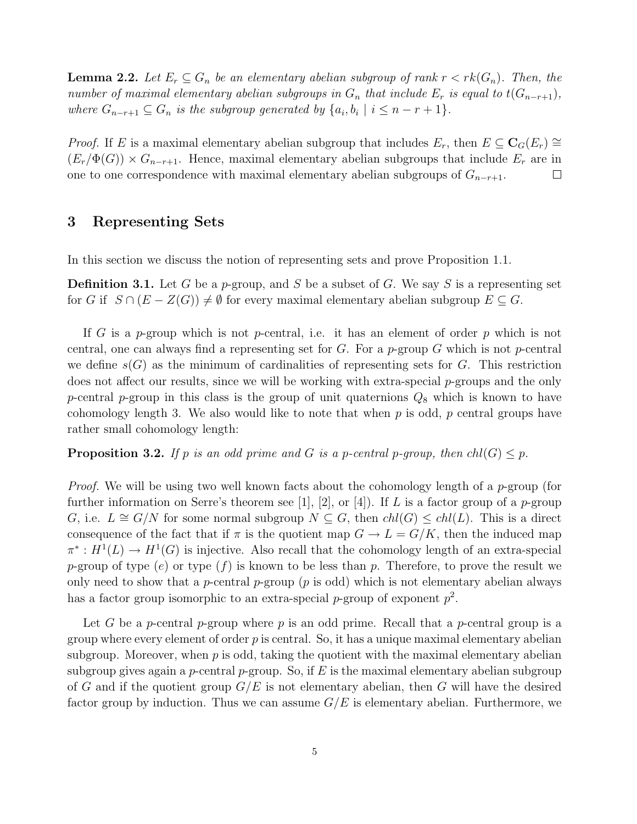**Lemma 2.2.** Let  $E_r \subseteq G_n$  be an elementary abelian subgroup of rank  $r \lt r k(G_n)$ . Then, the number of maximal elementary abelian subgroups in  $G_n$  that include  $E_r$  is equal to  $t(G_{n-r+1}),$ where  $G_{n-r+1} \subseteq G_n$  is the subgroup generated by  $\{a_i, b_i \mid i \leq n-r+1\}$ .

*Proof.* If E is a maximal elementary abelian subgroup that includes  $E_r$ , then  $E \subseteq \mathbf{C}_G(E_r) \cong$  $(E_r/\Phi(G)) \times G_{n-r+1}$ . Hence, maximal elementary abelian subgroups that include  $E_r$  are in one to one correspondence with maximal elementary abelian subgroups of  $G_{n-r+1}$ .  $\Box$ 

# 3 Representing Sets

In this section we discuss the notion of representing sets and prove Proposition 1.1.

**Definition 3.1.** Let G be a p-group, and S be a subset of G. We say S is a representing set for G if  $S \cap (E - Z(G)) \neq \emptyset$  for every maximal elementary abelian subgroup  $E \subseteq G$ .

If G is a p-group which is not p-central, i.e. it has an element of order p which is not central, one can always find a representing set for  $G$ . For a p-group  $G$  which is not p-central we define  $s(G)$  as the minimum of cardinalities of representing sets for G. This restriction does not affect our results, since we will be working with extra-special  $p$ -groups and the only p-central p-group in this class is the group of unit quaternions  $Q_8$  which is known to have cohomology length 3. We also would like to note that when  $p$  is odd,  $p$  central groups have rather small cohomology length:

**Proposition 3.2.** If p is an odd prime and G is a p-central p-group, then  $ch(G) \leq p$ .

*Proof.* We will be using two well known facts about the cohomology length of a  $p$ -group (for further information on Serre's theorem see [1], [2], or [4]). If L is a factor group of a p-group G, i.e.  $L \cong G/N$  for some normal subgroup  $N \subseteq G$ , then  $chl(G) \leq chl(L)$ . This is a direct consequence of the fact that if  $\pi$  is the quotient map  $G \to L = G/K$ , then the induced map  $\pi^*: H^1(L) \to H^1(G)$  is injective. Also recall that the cohomology length of an extra-special p-group of type  $(e)$  or type  $(f)$  is known to be less than p. Therefore, to prove the result we only need to show that a p-central p-group  $(p \text{ is odd})$  which is not elementary abelian always has a factor group isomorphic to an extra-special  $p$ -group of exponent  $p^2$ .

Let G be a p-central p-group where p is an odd prime. Recall that a p-central group is a group where every element of order  $p$  is central. So, it has a unique maximal elementary abelian subgroup. Moreover, when  $p$  is odd, taking the quotient with the maximal elementary abelian subgroup gives again a *p*-central *p*-group. So, if E is the maximal elementary abelian subgroup of G and if the quotient group  $G/E$  is not elementary abelian, then G will have the desired factor group by induction. Thus we can assume  $G/E$  is elementary abelian. Furthermore, we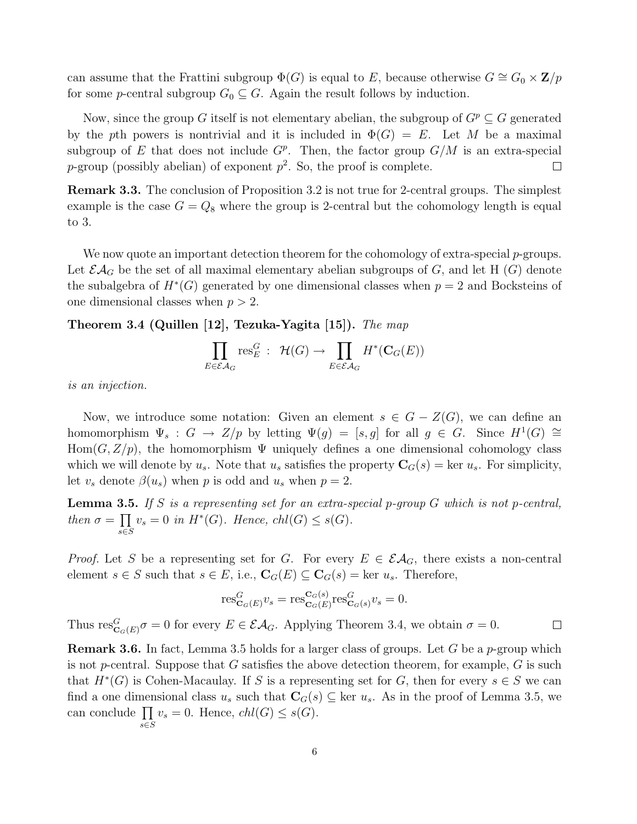can assume that the Frattini subgroup  $\Phi(G)$  is equal to E, because otherwise  $G \cong G_0 \times \mathbb{Z}/p$ for some *p*-central subgroup  $G_0 \subseteq G$ . Again the result follows by induction.

Now, since the group G itself is not elementary abelian, the subgroup of  $G^p \subseteq G$  generated by the pth powers is nontrivial and it is included in  $\Phi(G) = E$ . Let M be a maximal subgroup of E that does not include  $G^p$ . Then, the factor group  $G/M$  is an extra-special p-group (possibly abelian) of exponent  $p^2$ . So, the proof is complete.  $\Box$ 

Remark 3.3. The conclusion of Proposition 3.2 is not true for 2-central groups. The simplest example is the case  $G = Q_8$  where the group is 2-central but the cohomology length is equal to 3.

We now quote an important detection theorem for the cohomology of extra-special p-groups. Let  $\mathcal{E}A_G$  be the set of all maximal elementary abelian subgroups of G, and let H  $(G)$  denote the subalgebra of  $H^*(G)$  generated by one dimensional classes when  $p = 2$  and Bocksteins of one dimensional classes when  $p > 2$ .

Theorem 3.4 (Quillen [12], Tezuka-Yagita [15]). The map

$$
\prod_{E \in \mathcal{E} \mathcal{A}_G} \text{res}_{E}^G : \ \mathcal{H}(G) \to \prod_{E \in \mathcal{E} \mathcal{A}_G} H^*(\mathbf{C}_G(E))
$$

is an injection.

Now, we introduce some notation: Given an element  $s \in G - Z(G)$ , we can define an homomorphism  $\Psi_s: G \to Z/p$  by letting  $\Psi(g) = [s,g]$  for all  $g \in G$ . Since  $H^1(G) \cong$ Hom $(G, Z/p)$ , the homomorphism  $\Psi$  uniquely defines a one dimensional cohomology class which we will denote by  $u_s$ . Note that  $u_s$  satisfies the property  $\mathbf{C}_G(s) = \text{ker } u_s$ . For simplicity, let  $v_s$  denote  $\beta(u_s)$  when p is odd and  $u_s$  when  $p=2$ .

**Lemma 3.5.** If S is a representing set for an extra-special p-group  $G$  which is not p-central, then  $\sigma =$  $\frac{1}{\sqrt{2}}$ s∈S  $v_s = 0$  in  $H^*(G)$ . Hence, chl $(G) \leq s(G)$ .

*Proof.* Let S be a representing set for G. For every  $E \in \mathcal{E}\mathcal{A}_G$ , there exists a non-central element  $s \in S$  such that  $s \in E$ , i.e.,  $\mathbf{C}_G(E) \subseteq \mathbf{C}_G(s) = \text{ker } u_s$ . Therefore,

$$
\operatorname{res}^G_{\mathbf{C}_G(E)} v_s = \operatorname{res}^{\mathbf{C}_G(s)}_{\mathbf{C}_G(E)} \operatorname{res}^G_{\mathbf{C}_G(s)} v_s = 0.
$$

Thus  $res_{\mathbf{C}_G(E)}^G \sigma = 0$  for every  $E \in \mathcal{E}A_G$ . Applying Theorem 3.4, we obtain  $\sigma = 0$ .  $\Box$ 

**Remark 3.6.** In fact, Lemma 3.5 holds for a larger class of groups. Let G be a  $p$ -group which is not p-central. Suppose that G satisfies the above detection theorem, for example,  $G$  is such that  $H^*(G)$  is Cohen-Macaulay. If S is a representing set for G, then for every  $s \in S$  we can find a one dimensional class  $u_s$  such that  $\mathbf{C}_G(s) \subseteq \text{ker } u_s$ . As in the proof of Lemma 3.5, we mid a one dimensional class  $u_s$  such that  $C_G(s)$ <br>can conclude  $\prod v_s = 0$ . Hence,  $chl(G) \leq s(G)$ . s∈S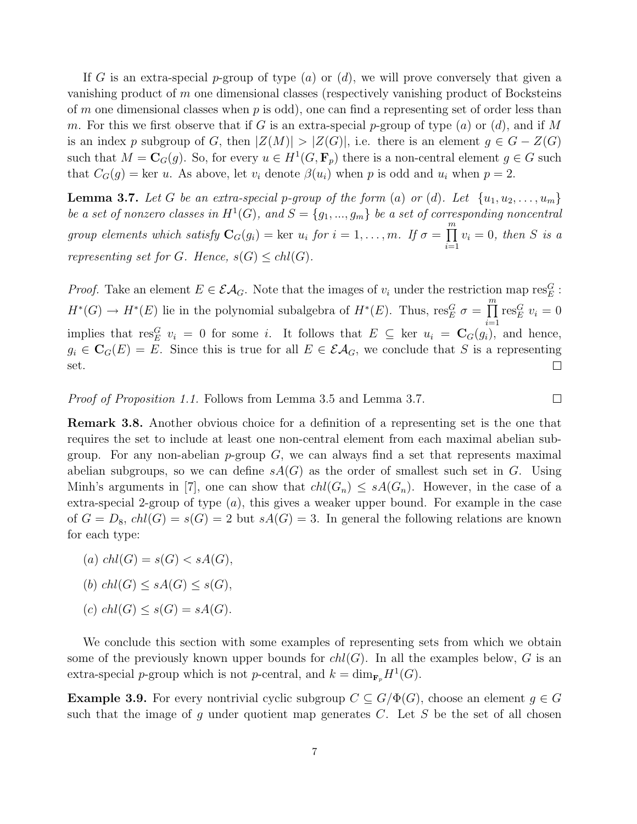If G is an extra-special p-group of type  $(a)$  or  $(d)$ , we will prove conversely that given a vanishing product of  $m$  one dimensional classes (respectively vanishing product of Bocksteins of m one dimensional classes when  $p$  is odd), one can find a representing set of order less than m. For this we first observe that if G is an extra-special p-group of type  $(a)$  or  $(d)$ , and if M is an index p subgroup of G, then  $|Z(M)| > |Z(G)|$ , i.e. there is an element  $g \in G - Z(G)$ such that  $M = \mathbf{C}_G(g)$ . So, for every  $u \in H^1(G, \mathbf{F}_p)$  there is a non-central element  $g \in G$  such that  $C_G(g) = \text{ker } u$ . As above, let  $v_i$  denote  $\beta(u_i)$  when p is odd and  $u_i$  when  $p = 2$ .

**Lemma 3.7.** Let G be an extra-special p-group of the form (a) or (d). Let  $\{u_1, u_2, \ldots, u_m\}$ be a set of nonzero classes in  $H^1(G)$ , and  $S = \{g_1, ..., g_m\}$  be a set of corresponding noncentral group elements which satisfy  $\mathbf{C}_G(g_i) = \text{ker } u_i$  for  $i = 1, ..., m$ . If  $\sigma =$  $\frac{m}{1}$  $i=1$  $v_i = 0$ , then S is a representing set for G. Hence,  $s(G) \leq chl(G)$ .

*Proof.* Take an element  $E \in \mathcal{EA}_G$ . Note that the images of  $v_i$  under the restriction map res<sub>E</sub>:  $\frac{m}{\sqrt{2}}$  $H^*(G) \to H^*(E)$  lie in the polynomial subalgebra of  $H^*(E)$ . Thus,  $res_E^G \sigma =$  $res_E^G v_i = 0$  $i=1$ implies that res<sup>G</sup>  $v_i = 0$  for some i. It follows that  $E \subseteq \text{ker } u_i = \mathbb{C}_G(g_i)$ , and hence,  $g_i \in \mathbf{C}_G(E) = \overline{E}$ . Since this is true for all  $E \in \mathcal{E}A_G$ , we conclude that S is a representing set.  $\Box$ 

 $\Box$ 

Proof of Proposition 1.1. Follows from Lemma 3.5 and Lemma 3.7.

Remark 3.8. Another obvious choice for a definition of a representing set is the one that requires the set to include at least one non-central element from each maximal abelian subgroup. For any non-abelian  $p$ -group  $G$ , we can always find a set that represents maximal abelian subgroups, so we can define  $sA(G)$  as the order of smallest such set in G. Using Minh's arguments in [7], one can show that  $ch(G_n) \leq sA(G_n)$ . However, in the case of a extra-special 2-group of type  $(a)$ , this gives a weaker upper bound. For example in the case of  $G = D_8$ ,  $chl(G) = s(G) = 2$  but  $sA(G) = 3$ . In general the following relations are known for each type:

- (a)  $chl(G) = s(G) < sA(G)$ ,
- (b)  $chl(G) \leq sA(G) \leq s(G)$ ,
- (c)  $chl(G) \leq s(G) = sA(G)$ .

We conclude this section with some examples of representing sets from which we obtain some of the previously known upper bounds for  $ch(G)$ . In all the examples below, G is an extra-special p-group which is not p-central, and  $k = \dim_{\mathbf{F}_p} H^1(G)$ .

**Example 3.9.** For every nontrivial cyclic subgroup  $C \subseteq G/\Phi(G)$ , choose an element  $q \in G$ such that the image of  $g$  under quotient map generates  $C$ . Let  $S$  be the set of all chosen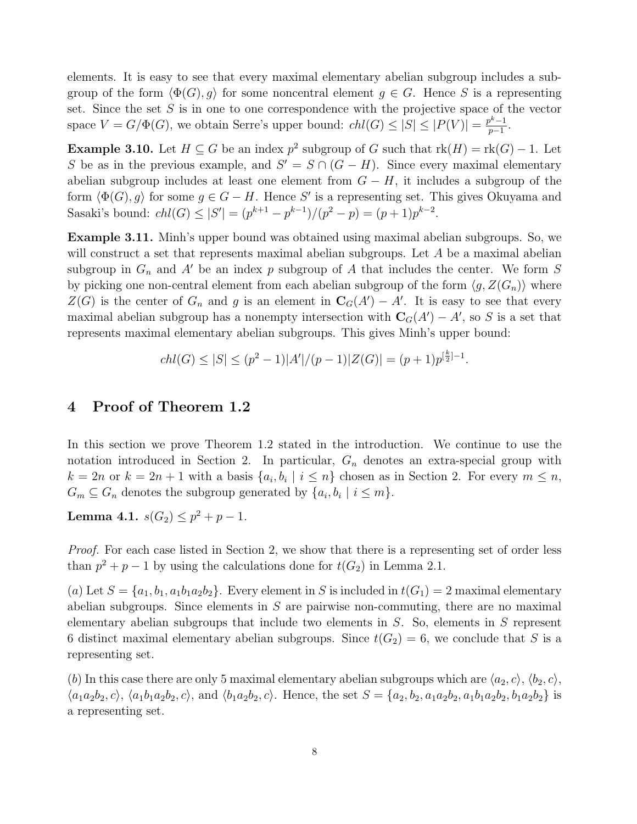elements. It is easy to see that every maximal elementary abelian subgroup includes a subgroup of the form  $\langle \Phi(G), q \rangle$  for some noncentral element  $q \in G$ . Hence S is a representing set. Since the set  $S$  is in one to one correspondence with the projective space of the vector space  $V = G/\Phi(G)$ , we obtain Serre's upper bound:  $chl(G) \leq |S| \leq |P(V)| = \frac{p^k-1}{n-1}$  $\frac{p^{\kappa}-1}{p-1}$ .

**Example 3.10.** Let  $H \subseteq G$  be an index  $p^2$  subgroup of G such that  $rk(H) = rk(G) - 1$ . Let S be as in the previous example, and  $S' = S \cap (G - H)$ . Since every maximal elementary abelian subgroup includes at least one element from  $G - H$ , it includes a subgroup of the form  $\langle \Phi(G), g \rangle$  for some  $g \in G - H$ . Hence S' is a representing set. This gives Okuyama and Sasaki's bound:  $chl(G) \leq |S'| = (p^{k+1} - p^{k-1})/(p^2 - p) = (p+1)p^{k-2}$ .

Example 3.11. Minh's upper bound was obtained using maximal abelian subgroups. So, we will construct a set that represents maximal abelian subgroups. Let A be a maximal abelian subgroup in  $G_n$  and A' be an index p subgroup of A that includes the center. We form S by picking one non-central element from each abelian subgroup of the form  $\langle g, Z(G_n) \rangle$  where  $Z(G)$  is the center of  $G_n$  and g is an element in  $\mathbf{C}_G(A') - A'$ . It is easy to see that every maximal abelian subgroup has a nonempty intersection with  $\mathbf{C}_G(A') - A'$ , so S is a set that represents maximal elementary abelian subgroups. This gives Minh's upper bound:

$$
chl(G) \le |S| \le (p^2 - 1)|A'|/(p - 1)|Z(G)| = (p + 1)p^{\lfloor \frac{k}{2} \rfloor - 1}.
$$

# 4 Proof of Theorem 1.2

In this section we prove Theorem 1.2 stated in the introduction. We continue to use the notation introduced in Section 2. In particular,  $G_n$  denotes an extra-special group with  $k = 2n$  or  $k = 2n + 1$  with a basis  $\{a_i, b_i \mid i \leq n\}$  chosen as in Section 2. For every  $m \leq n$ ,  $G_m \subseteq G_n$  denotes the subgroup generated by  $\{a_i, b_i \mid i \leq m\}.$ 

Lemma 4.1.  $s(G_2) \leq p^2 + p - 1$ .

Proof. For each case listed in Section 2, we show that there is a representing set of order less than  $p^2 + p - 1$  by using the calculations done for  $t(G_2)$  in Lemma 2.1.

(a) Let  $S = \{a_1, b_1, a_1b_1a_2b_2\}$ . Every element in S is included in  $t(G_1) = 2$  maximal elementary abelian subgroups. Since elements in  $S$  are pairwise non-commuting, there are no maximal elementary abelian subgroups that include two elements in  $S$ . So, elements in  $S$  represent 6 distinct maximal elementary abelian subgroups. Since  $t(G_2) = 6$ , we conclude that S is a representing set.

(b) In this case there are only 5 maximal elementary abelian subgroups which are  $\langle a_2, c \rangle, \langle b_2, c \rangle$ ,  $\langle a_1a_2b_2, c \rangle$ ,  $\langle a_1b_1a_2b_2, c \rangle$ , and  $\langle b_1a_2b_2, c \rangle$ . Hence, the set  $S = \{a_2, b_2, a_1a_2b_2, a_1b_1a_2b_2, b_1a_2b_2\}$  is a representing set.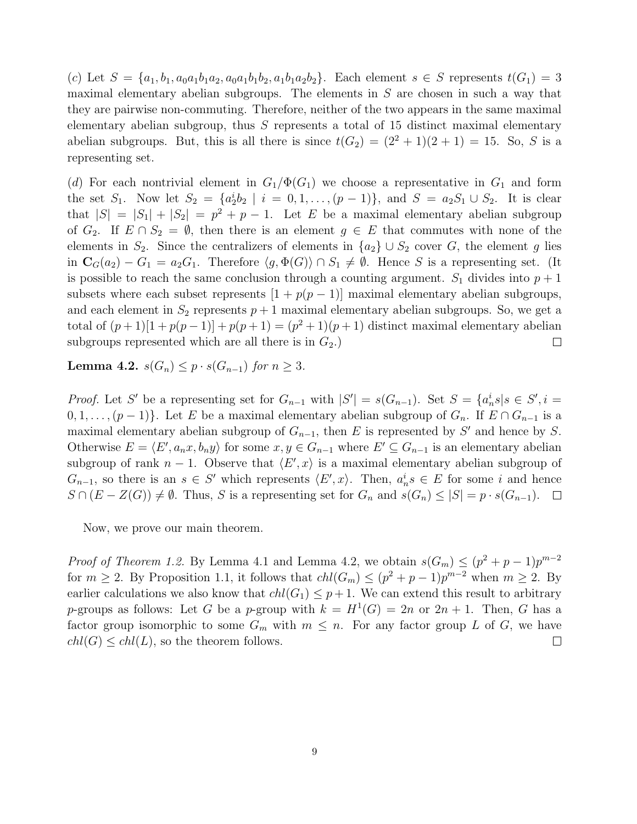(c) Let  $S = \{a_1, b_1, a_0a_1b_1a_2, a_0a_1b_1b_2, a_1b_1a_2b_2\}$ . Each element  $s \in S$  represents  $t(G_1) = 3$ maximal elementary abelian subgroups. The elements in  $S$  are chosen in such a way that they are pairwise non-commuting. Therefore, neither of the two appears in the same maximal elementary abelian subgroup, thus  $S$  represents a total of 15 distinct maximal elementary abelian subgroups. But, this is all there is since  $t(G_2) = (2^2 + 1)(2 + 1) = 15$ . So, S is a representing set.

(d) For each nontrivial element in  $G_1/\Phi(G_1)$  we choose a representative in  $G_1$  and form the set  $S_1$ . Now let  $S_2 = \{a_2^i b_2 \mid i = 0, 1, ..., (p-1)\}$ , and  $S = a_2 S_1 \cup S_2$ . It is clear that  $|S| = |S_1| + |S_2| = p^2 + p - 1$ . Let E be a maximal elementary abelian subgroup of  $G_2$ . If  $E \cap S_2 = \emptyset$ , then there is an element  $g \in E$  that commutes with none of the elements in  $S_2$ . Since the centralizers of elements in  $\{a_2\} \cup S_2$  cover G, the element g lies in  $\mathbf{C}_G(a_2) - G_1 = a_2 G_1$ . Therefore  $\langle g, \Phi(G) \rangle \cap S_1 \neq \emptyset$ . Hence S is a representing set. (It is possible to reach the same conclusion through a counting argument.  $S_1$  divides into  $p + 1$ subsets where each subset represents  $[1 + p(p-1)]$  maximal elementary abelian subgroups, and each element in  $S_2$  represents  $p+1$  maximal elementary abelian subgroups. So, we get a total of  $(p+1)[1+p(p-1)] + p(p+1) = (p^2+1)(p+1)$  distinct maximal elementary abelian subgroups represented which are all there is in  $G_2$ .)  $\Box$ 

Lemma 4.2.  $s(G_n) \leq p \cdot s(G_{n-1})$  for  $n \geq 3$ .

*Proof.* Let S' be a representing set for  $G_{n-1}$  with  $|S'| = s(G_{n-1})$ . Set  $S = \{a_n^i s | s \in S', i =$  $0, 1, \ldots, (p-1)$ . Let E be a maximal elementary abelian subgroup of  $G_n$ . If  $E \cap G_{n-1}$  is a maximal elementary abelian subgroup of  $G_{n-1}$ , then E is represented by S' and hence by S. Otherwise  $E = \langle E', a_n x, b_n y \rangle$  for some  $x, y \in G_{n-1}$  where  $E' \subseteq G_{n-1}$  is an elementary abelian subgroup of rank  $n-1$ . Observe that  $\langle E', x \rangle$  is a maximal elementary abelian subgroup of  $G_{n-1}$ , so there is an  $s \in S'$  which represents  $\langle E', x \rangle$ . Then,  $a_n^i s \in E$  for some i and hence  $S \cap (E - Z(G)) \neq \emptyset$ . Thus, S is a representing set for  $G_n$  and  $s(G_n) \leq |S| = p \cdot s(G_{n-1})$ .  $\Box$ 

Now, we prove our main theorem.

*Proof of Theorem 1.2.* By Lemma 4.1 and Lemma 4.2, we obtain  $s(G_m) \leq (p^2 + p - 1)p^{m-2}$ for  $m \geq 2$ . By Proposition 1.1, it follows that  $ch(G_m) \leq (p^2 + p - 1)p^{m-2}$  when  $m \geq 2$ . By earlier calculations we also know that  $chl(G_1) \leq p+1$ . We can extend this result to arbitrary p-groups as follows: Let G be a p-group with  $k = H^1(G) = 2n$  or  $2n + 1$ . Then, G has a factor group isomorphic to some  $G_m$  with  $m \leq n$ . For any factor group L of G, we have  $chl(G) \leq chl(L)$ , so the theorem follows.  $\Box$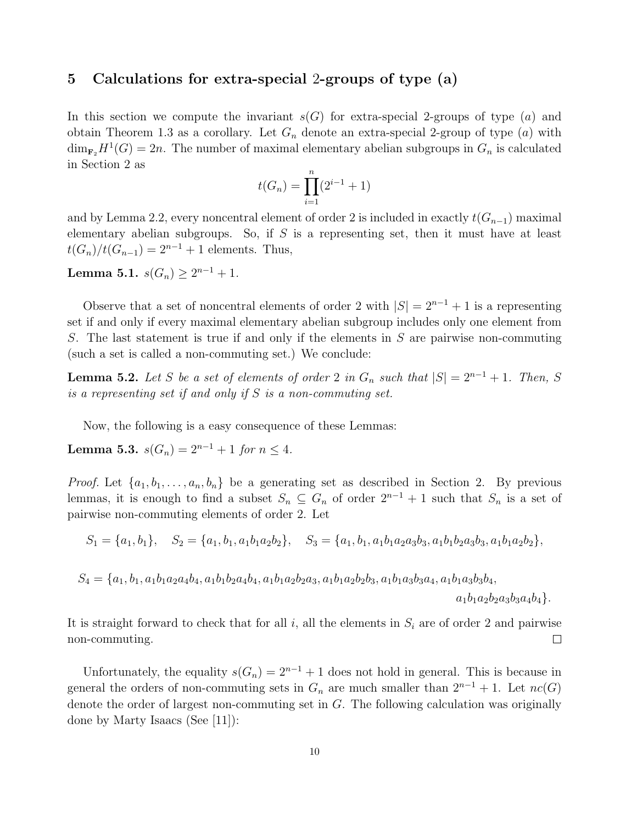# 5 Calculations for extra-special 2-groups of type (a)

In this section we compute the invariant  $s(G)$  for extra-special 2-groups of type (a) and obtain Theorem 1.3 as a corollary. Let  $G_n$  denote an extra-special 2-group of type  $(a)$  with  $\dim_{\mathbf{F}_2} H^1(G) = 2n$ . The number of maximal elementary abelian subgroups in  $G_n$  is calculated in Section 2 as

$$
t(G_n) = \prod_{i=1}^{n} (2^{i-1} + 1)
$$

and by Lemma 2.2, every noncentral element of order 2 is included in exactly  $t(G_{n-1})$  maximal elementary abelian subgroups. So, if  $S$  is a representing set, then it must have at least  $t(G_n)/t(G_{n-1}) = 2^{n-1} + 1$  elements. Thus,

Lemma 5.1.  $s(G_n) \geq 2^{n-1} + 1$ .

Observe that a set of noncentral elements of order 2 with  $|S| = 2^{n-1} + 1$  is a representing set if and only if every maximal elementary abelian subgroup includes only one element from S. The last statement is true if and only if the elements in S are pairwise non-commuting (such a set is called a non-commuting set.) We conclude:

**Lemma 5.2.** Let S be a set of elements of order 2 in  $G_n$  such that  $|S| = 2^{n-1} + 1$ . Then, S is a representing set if and only if S is a non-commuting set.

Now, the following is a easy consequence of these Lemmas:

Lemma 5.3.  $s(G_n) = 2^{n-1} + 1$  for  $n \leq 4$ .

*Proof.* Let  $\{a_1, b_1, \ldots, a_n, b_n\}$  be a generating set as described in Section 2. By previous lemmas, it is enough to find a subset  $S_n \subseteq G_n$  of order  $2^{n-1} + 1$  such that  $S_n$  is a set of pairwise non-commuting elements of order 2. Let

$$
S_1 = \{a_1, b_1\}, \quad S_2 = \{a_1, b_1, a_1b_1a_2b_2\}, \quad S_3 = \{a_1, b_1, a_1b_1a_2a_3b_3, a_1b_1b_2a_3b_3, a_1b_1a_2b_2\},
$$

$$
S_4 = \{a_1, b_1, a_1b_1a_2a_4b_4, a_1b_1b_2a_4b_4, a_1b_1a_2b_2a_3, a_1b_1a_2b_2b_3, a_1b_1a_3b_3a_4, a_1b_1a_3b_3b_4, a_1b_1a_2b_2a_3b_3a_4b_4\}.
$$

It is straight forward to check that for all  $i$ , all the elements in  $S_i$  are of order 2 and pairwise non-commuting.  $\Box$ 

Unfortunately, the equality  $s(G_n) = 2^{n-1} + 1$  does not hold in general. This is because in general the orders of non-commuting sets in  $G_n$  are much smaller than  $2^{n-1} + 1$ . Let  $nc(G)$ denote the order of largest non-commuting set in G. The following calculation was originally done by Marty Isaacs (See [11]):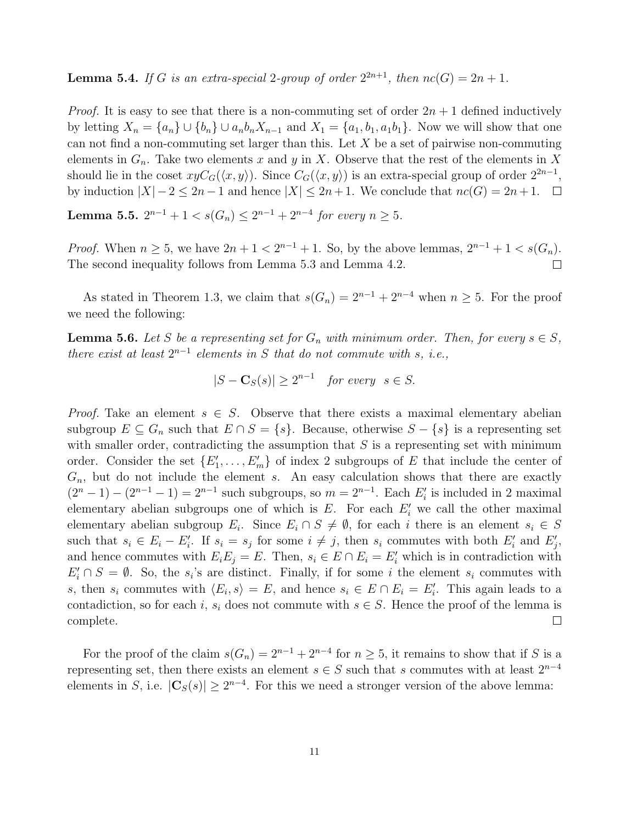**Lemma 5.4.** If G is an extra-special 2-group of order  $2^{2n+1}$ , then  $nc(G) = 2n + 1$ .

*Proof.* It is easy to see that there is a non-commuting set of order  $2n + 1$  defined inductively by letting  $X_n = \{a_n\} \cup \{b_n\} \cup a_n b_n X_{n-1}$  and  $X_1 = \{a_1, b_1, a_1 b_1\}$ . Now we will show that one can not find a non-commuting set larger than this. Let  $X$  be a set of pairwise non-commuting elements in  $G_n$ . Take two elements x and y in X. Observe that the rest of the elements in X should lie in the coset  $xyC_G(\langle x, y \rangle)$ . Since  $C_G(\langle x, y \rangle)$  is an extra-special group of order  $2^{2n-1}$ , by induction  $|X| - 2 \le 2n - 1$  and hence  $|X| \le 2n + 1$ . We conclude that  $nc(G) = 2n + 1$ .  $\Box$ 

Lemma 5.5.  $2^{n-1} + 1 < s(G_n) \leq 2^{n-1} + 2^{n-4}$  for every  $n \geq 5$ .

*Proof.* When  $n \ge 5$ , we have  $2n + 1 < 2^{n-1} + 1$ . So, by the above lemmas,  $2^{n-1} + 1 < s(G_n)$ . The second inequality follows from Lemma 5.3 and Lemma 4.2.  $\Box$ 

As stated in Theorem 1.3, we claim that  $s(G_n) = 2^{n-1} + 2^{n-4}$  when  $n \ge 5$ . For the proof we need the following:

**Lemma 5.6.** Let S be a representing set for  $G_n$  with minimum order. Then, for every  $s \in S$ , there exist at least  $2^{n-1}$  elements in S that do not commute with s, i.e.,

$$
|S - \mathbf{C}_S(s)| \ge 2^{n-1} \quad \text{for every} \quad s \in S.
$$

*Proof.* Take an element  $s \in S$ . Observe that there exists a maximal elementary abelian subgroup  $E \subseteq G_n$  such that  $E \cap S = \{s\}$ . Because, otherwise  $S - \{s\}$  is a representing set with smaller order, contradicting the assumption that  $S$  is a representing set with minimum order. Consider the set  $\{E'_1, \ldots, E'_m\}$  of index 2 subgroups of E that include the center of  $G_n$ , but do not include the element s. An easy calculation shows that there are exactly  $(2^{n} - 1) - (2^{n-1} - 1) = 2^{n-1}$  such subgroups, so  $m = 2^{n-1}$ . Each  $E'_{i}$  is included in 2 maximal elementary abelian subgroups one of which is  $E$ . For each  $E'_{i}$  we call the other maximal elementary abelian subgroup  $E_i$ . Since  $E_i \cap S \neq \emptyset$ , for each i there is an element  $s_i \in S$ such that  $s_i \in E_i - E'_i$ . If  $s_i = s_j$  for some  $i \neq j$ , then  $s_i$  commutes with both  $E'_i$  and  $E'_j$ , and hence commutes with  $E_i E_j = E$ . Then,  $s_i \in E \cap E_i = E'_i$  which is in contradiction with  $E'_i \cap S = \emptyset$ . So, the s<sub>i</sub>'s are distinct. Finally, if for some i the element s<sub>i</sub> commutes with s, then  $s_i$  commutes with  $\langle E_i, s \rangle = E$ , and hence  $s_i \in E \cap E_i = E'_i$ . This again leads to a contadiction, so for each i,  $s_i$  does not commute with  $s \in S$ . Hence the proof of the lemma is  $\Box$ complete.

For the proof of the claim  $s(G_n) = 2^{n-1} + 2^{n-4}$  for  $n \geq 5$ , it remains to show that if S is a representing set, then there exists an element  $s \in S$  such that s commutes with at least  $2^{n-4}$ elements in S, i.e.  $|\mathbf{C}_S(s)| \geq 2^{n-4}$ . For this we need a stronger version of the above lemma: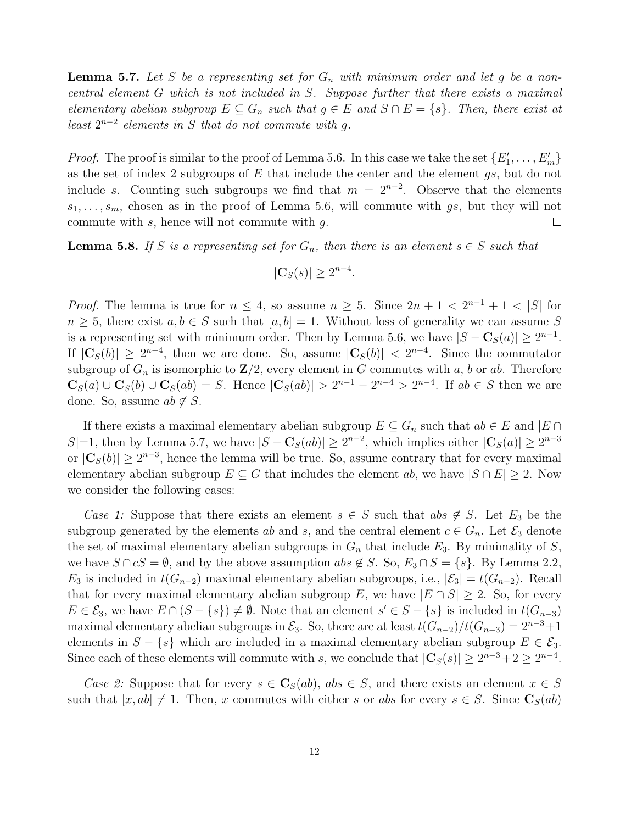**Lemma 5.7.** Let S be a representing set for  $G_n$  with minimum order and let g be a noncentral element G which is not included in S. Suppose further that there exists a maximal elementary abelian subgroup  $E \subseteq G_n$  such that  $g \in E$  and  $S \cap E = \{s\}$ . Then, there exist at least  $2^{n-2}$  elements in S that do not commute with g.

*Proof.* The proof is similar to the proof of Lemma 5.6. In this case we take the set  $\{E'_1, \ldots, E'_m\}$ as the set of index 2 subgroups of  $E$  that include the center and the element  $gs$ , but do not include s. Counting such subgroups we find that  $m = 2^{n-2}$ . Observe that the elements  $s_1, \ldots, s_m$ , chosen as in the proof of Lemma 5.6, will commute with gs, but they will not commute with  $s$ , hence will not commute with  $q$ .  $\Box$ 

**Lemma 5.8.** If S is a representing set for  $G_n$ , then there is an element  $s \in S$  such that

$$
|\mathbf{C}_S(s)| \ge 2^{n-4}.
$$

*Proof.* The lemma is true for  $n \leq 4$ , so assume  $n \geq 5$ . Since  $2n + 1 < 2^{n-1} + 1 < |S|$  for  $n \geq 5$ , there exist  $a, b \in S$  such that  $[a, b] = 1$ . Without loss of generality we can assume S is a representing set with minimum order. Then by Lemma 5.6, we have  $|S - \mathbf{C}_S(a)| \geq 2^{n-1}$ . If  $|\mathbf{C}_S(b)| \ge 2^{n-4}$ , then we are done. So, assume  $|\mathbf{C}_S(b)| < 2^{n-4}$ . Since the commutator subgroup of  $G_n$  is isomorphic to  $\mathbb{Z}/2$ , every element in G commutes with a, b or ab. Therefore  $C_S(a) \cup C_S(b) \cup C_S(ab) = S$ . Hence  $|C_S(ab)| > 2^{n-1} - 2^{n-4} > 2^{n-4}$ . If  $ab \in S$  then we are done. So, assume  $ab \notin S$ .

If there exists a maximal elementary abelian subgroup  $E \subseteq G_n$  such that  $ab \in E$  and  $|E \cap E|$ S|=1, then by Lemma 5.7, we have  $|S - \mathbf{C}_S(ab)| \geq 2^{n-2}$ , which implies either  $|\mathbf{C}_S(a)| \geq 2^{n-3}$ or  $|\mathbf{C}_S(b)| \ge 2^{n-3}$ , hence the lemma will be true. So, assume contrary that for every maximal elementary abelian subgroup  $E \subseteq G$  that includes the element ab, we have  $|S \cap E| \ge 2$ . Now we consider the following cases:

Case 1: Suppose that there exists an element  $s \in S$  such that abs  $\notin S$ . Let  $E_3$  be the subgroup generated by the elements ab and s, and the central element  $c \in G_n$ . Let  $\mathcal{E}_3$  denote the set of maximal elementary abelian subgroups in  $G_n$  that include  $E_3$ . By minimality of S, we have  $S \cap cS = \emptyset$ , and by the above assumption  $abs \notin S$ . So,  $E_3 \cap S = \{s\}$ . By Lemma 2.2,  $E_3$  is included in  $t(G_{n-2})$  maximal elementary abelian subgroups, i.e.,  $|\mathcal{E}_3| = t(G_{n-2})$ . Recall that for every maximal elementary abelian subgroup E, we have  $|E \cap S| \geq 2$ . So, for every  $E \in \mathcal{E}_3$ , we have  $E \cap (S - \{s\}) \neq \emptyset$ . Note that an element  $s' \in S - \{s\}$  is included in  $t(G_{n-3})$ maximal elementary abelian subgroups in  $\mathcal{E}_3$ . So, there are at least  $t(G_{n-2})/t(G_{n-3}) = 2^{n-3}+1$ elements in  $S - \{s\}$  which are included in a maximal elementary abelian subgroup  $E \in \mathcal{E}_3$ . Since each of these elements will commute with s, we conclude that  $|\mathbf{C}_S(s)| \geq 2^{n-3}+2 \geq 2^{n-4}$ .

Case 2: Suppose that for every  $s \in \mathbf{C}_S(ab)$ , abs  $\in S$ , and there exists an element  $x \in S$ such that  $[x, ab] \neq 1$ . Then, x commutes with either s or abs for every  $s \in S$ . Since  $\mathbf{C}_{S}(ab)$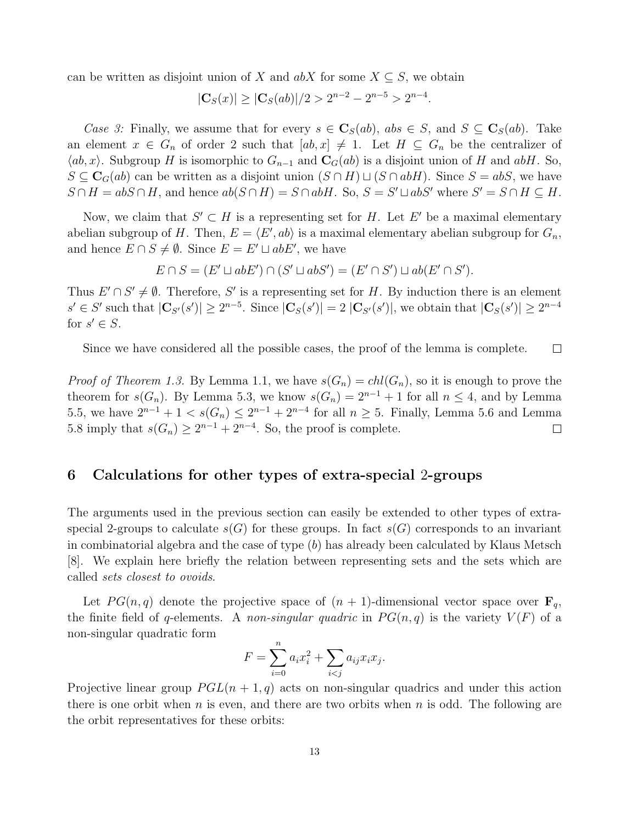can be written as disjoint union of X and  $abX$  for some  $X \subseteq S$ , we obtain

$$
|\mathbf{C}_S(x)| \ge |\mathbf{C}_S(ab)|/2 > 2^{n-2} - 2^{n-5} > 2^{n-4}.
$$

Case 3: Finally, we assume that for every  $s \in \mathbf{C}_S(ab)$ ,  $abs \in S$ , and  $S \subseteq \mathbf{C}_S(ab)$ . Take an element  $x \in G_n$  of order 2 such that  $[ab, x] \neq 1$ . Let  $H \subseteq G_n$  be the centralizer of  $\langle ab, x \rangle$ . Subgroup H is isomorphic to  $G_{n-1}$  and  $\mathbf{C}_G(ab)$  is a disjoint union of H and abH. So,  $S \subseteq \mathbf{C}_G(ab)$  can be written as a disjoint union  $(S \cap H) \sqcup (S \cap abH)$ . Since  $S = abS$ , we have  $S \cap H = abS \cap H$ , and hence  $ab(S \cap H) = S \cap abH$ . So,  $S = S' \sqcup abS'$  where  $S' = S \cap H \subseteq H$ .

Now, we claim that  $S' \subset H$  is a representing set for H. Let E' be a maximal elementary abelian subgroup of H. Then,  $E = \langle E', ab \rangle$  is a maximal elementary abelian subgroup for  $G_n$ , and hence  $E \cap S \neq \emptyset$ . Since  $E = E' \sqcup abE'$ , we have

$$
E \cap S = (E' \sqcup abE') \cap (S' \sqcup abS') = (E' \cap S') \sqcup ab(E' \cap S').
$$

Thus  $E' \cap S' \neq \emptyset$ . Therefore, S' is a representing set for H. By induction there is an element  $s' \in S'$  such that  $|\mathbf{C}_{S'}(s')| \geq 2^{n-5}$ . Since  $|\mathbf{C}_{S}(s')| = 2 |\mathbf{C}_{S'}(s')|$ , we obtain that  $|\mathbf{C}_{S}(s')| \geq 2^{n-4}$ for  $s' \in S$ .

Since we have considered all the possible cases, the proof of the lemma is complete.  $\Box$ 

*Proof of Theorem 1.3.* By Lemma 1.1, we have  $s(G_n) = ch l(G_n)$ , so it is enough to prove the theorem for  $s(G_n)$ . By Lemma 5.3, we know  $s(G_n) = 2^{n-1} + 1$  for all  $n \leq 4$ , and by Lemma 5.5, we have  $2^{n-1} + 1 < s(G_n) \leq 2^{n-1} + 2^{n-4}$  for all  $n \geq 5$ . Finally, Lemma 5.6 and Lemma 5.8 imply that  $s(G_n) \geq 2^{n-1} + 2^{n-4}$ . So, the proof is complete.  $\Box$ 

## 6 Calculations for other types of extra-special 2-groups

The arguments used in the previous section can easily be extended to other types of extraspecial 2-groups to calculate  $s(G)$  for these groups. In fact  $s(G)$  corresponds to an invariant in combinatorial algebra and the case of type  $(b)$  has already been calculated by Klaus Metsch [8]. We explain here briefly the relation between representing sets and the sets which are called sets closest to ovoids.

Let  $PG(n, q)$  denote the projective space of  $(n + 1)$ -dimensional vector space over  $\mathbf{F}_q$ , the finite field of q-elements. A non-singular quadric in  $PG(n, q)$  is the variety  $V(F)$  of a non-singular quadratic form

$$
F = \sum_{i=0}^{n} a_i x_i^2 + \sum_{i < j} a_{ij} x_i x_j.
$$

Projective linear group  $PGL(n + 1, q)$  acts on non-singular quadrics and under this action there is one orbit when  $n$  is even, and there are two orbits when  $n$  is odd. The following are the orbit representatives for these orbits: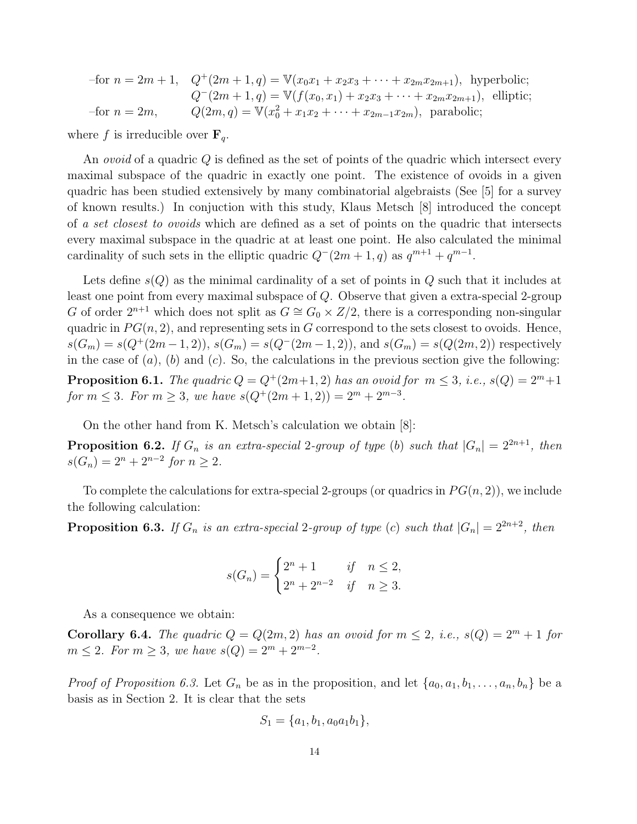|                    | -for $n = 2m + 1$ , $Q^+(2m + 1, q) = V(x_0x_1 + x_2x_3 + \cdots + x_{2m}x_{2m+1})$ , hyperbolic; |
|--------------------|---------------------------------------------------------------------------------------------------|
|                    | $Q^{-}(2m+1,q) = \mathbb{V}(f(x_0,x_1) + x_2x_3 + \cdots + x_{2m}x_{2m+1}),$ elliptic;            |
| $-$ for $n = 2m$ , | $Q(2m,q) = \mathbb{V}(x_0^2 + x_1x_2 + \cdots + x_{2m-1}x_{2m})$ , parabolic;                     |

where f is irreducible over  $\mathbf{F}_q$ .

An *ovoid* of a quadric Q is defined as the set of points of the quadric which intersect every maximal subspace of the quadric in exactly one point. The existence of ovoids in a given quadric has been studied extensively by many combinatorial algebraists (See [5] for a survey of known results.) In conjuction with this study, Klaus Metsch [8] introduced the concept of a set closest to ovoids which are defined as a set of points on the quadric that intersects every maximal subspace in the quadric at at least one point. He also calculated the minimal cardinality of such sets in the elliptic quadric  $Q^-(2m+1, q)$  as  $q^{m+1} + q^{m-1}$ .

Lets define  $s(Q)$  as the minimal cardinality of a set of points in Q such that it includes at least one point from every maximal subspace of Q. Observe that given a extra-special 2-group G of order  $2^{n+1}$  which does not split as  $G \cong G_0 \times Z/2$ , there is a corresponding non-singular quadric in  $PG(n, 2)$ , and representing sets in G correspond to the sets closest to ovoids. Hence,  $s(G_m) = s(Q^+(2m-1,2)), s(G_m) = s(Q^-(2m-1,2)),$  and  $s(G_m) = s(Q(2m,2))$  respectively in the case of  $(a)$ ,  $(b)$  and  $(c)$ . So, the calculations in the previous section give the following:

**Proposition 6.1.** The quadric  $Q = Q^+(2m+1, 2)$  has an ovoid for  $m \leq 3$ , i.e.,  $s(Q) = 2^m + 1$ for  $m \leq 3$ . For  $m \geq 3$ , we have  $s(Q^+(2m+1,2)) = 2^m + 2^{m-3}$ .

On the other hand from K. Metsch's calculation we obtain [8]:

**Proposition 6.2.** If  $G_n$  is an extra-special 2-group of type (b) such that  $|G_n| = 2^{2n+1}$ , then  $s(G_n) = 2^n + 2^{n-2}$  for  $n \ge 2$ .

To complete the calculations for extra-special 2-groups (or quadrics in  $PG(n, 2)$ ), we include the following calculation:

**Proposition 6.3.** If  $G_n$  is an extra-special 2-group of type (c) such that  $|G_n| = 2^{2n+2}$ , then

$$
s(G_n) = \begin{cases} 2^n + 1 & \text{if } n \le 2, \\ 2^n + 2^{n-2} & \text{if } n \ge 3. \end{cases}
$$

As a consequence we obtain:

Corollary 6.4. The quadric  $Q = Q(2m, 2)$  has an ovoid for  $m \le 2$ , i.e.,  $s(Q) = 2<sup>m</sup> + 1$  for  $m \leq 2$ . For  $m \geq 3$ , we have  $s(Q) = 2^m + 2^{m-2}$ .

*Proof of Proposition 6.3.* Let  $G_n$  be as in the proposition, and let  $\{a_0, a_1, b_1, \ldots, a_n, b_n\}$  be a basis as in Section 2. It is clear that the sets

$$
S_1 = \{a_1, b_1, a_0a_1b_1\},\
$$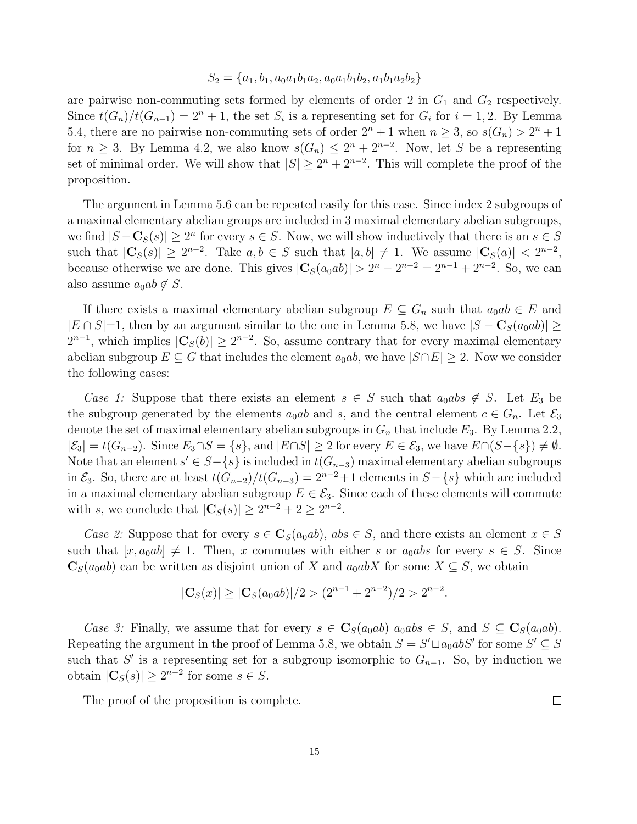#### $S_2 = \{a_1, b_1, a_0a_1b_1a_2, a_0a_1b_1b_2, a_1b_1a_2b_2\}$

are pairwise non-commuting sets formed by elements of order 2 in  $G_1$  and  $G_2$  respectively. Since  $t(G_n)/t(G_{n-1}) = 2^n + 1$ , the set  $S_i$  is a representing set for  $G_i$  for  $i = 1, 2$ . By Lemma 5.4, there are no pairwise non-commuting sets of order  $2^n + 1$  when  $n \geq 3$ , so  $s(G_n) > 2^n + 1$ for  $n \geq 3$ . By Lemma 4.2, we also know  $s(G_n) \leq 2^n + 2^{n-2}$ . Now, let S be a representing set of minimal order. We will show that  $|S| \geq 2^n + 2^{n-2}$ . This will complete the proof of the proposition.

The argument in Lemma 5.6 can be repeated easily for this case. Since index 2 subgroups of a maximal elementary abelian groups are included in 3 maximal elementary abelian subgroups, we find  $|S - \mathbf{C}_S(s)| \geq 2^n$  for every  $s \in S$ . Now, we will show inductively that there is an  $s \in S$ such that  $|\mathbf{C}_S(s)| \geq 2^{n-2}$ . Take  $a, b \in S$  such that  $[a, b] \neq 1$ . We assume  $|\mathbf{C}_S(a)| < 2^{n-2}$ , because otherwise we are done. This gives  $|\mathbf{C}_S(a_0ab)| > 2^n - 2^{n-2} = 2^{n-1} + 2^{n-2}$ . So, we can also assume  $a_0ab \notin S$ .

If there exists a maximal elementary abelian subgroup  $E \subseteq G_n$  such that  $a_0ab \in E$  and  $|E \cap S|=1$ , then by an argument similar to the one in Lemma 5.8, we have  $|S - \mathbf{C}_S(a_0ab)| \ge$  $2^{n-1}$ , which implies  $|\mathbf{C}_S(b)| \geq 2^{n-2}$ . So, assume contrary that for every maximal elementary abelian subgroup  $E \subseteq G$  that includes the element  $a_0ab$ , we have  $|S \cap E| \geq 2$ . Now we consider the following cases:

Case 1: Suppose that there exists an element  $s \in S$  such that  $a_0abs \notin S$ . Let  $E_3$  be the subgroup generated by the elements  $a_0ab$  and s, and the central element  $c \in G_n$ . Let  $\mathcal{E}_3$ denote the set of maximal elementary abelian subgroups in  $G_n$  that include  $E_3$ . By Lemma 2.2,  $|\mathcal{E}_3| = t(G_{n-2})$ . Since  $E_3 \cap S = \{s\}$ , and  $|E \cap S| \geq 2$  for every  $E \in \mathcal{E}_3$ , we have  $E \cap (S - \{s\}) \neq \emptyset$ . Note that an element  $s' \in S - \{s\}$  is included in  $t(G_{n-3})$  maximal elementary abelian subgroups in  $\mathcal{E}_3$ . So, there are at least  $t(G_{n-2})/t(G_{n-3}) = 2^{n-2}+1$  elements in  $S-\{s\}$  which are included in a maximal elementary abelian subgroup  $E \in \mathcal{E}_3$ . Since each of these elements will commute with s, we conclude that  $|\mathbf{C}_S(s)| \ge 2^{n-2} + 2 \ge 2^{n-2}$ .

Case 2: Suppose that for every  $s \in \mathbb{C}_S(a_0ab)$ ,  $abs \in S$ , and there exists an element  $x \in S$ such that  $[x, a_0ab] \neq 1$ . Then, x commutes with either s or  $a_0ab$ s for every  $s \in S$ . Since  $\mathbf{C}_S(a_0ab)$  can be written as disjoint union of X and  $a_0abX$  for some  $X \subseteq S$ , we obtain

$$
|\mathbf{C}_S(x)| \ge |\mathbf{C}_S(a_0ab)|/2 > (2^{n-1} + 2^{n-2})/2 > 2^{n-2}.
$$

Case 3: Finally, we assume that for every  $s \in \mathbf{C}_{S}(a_0ab)$   $a_0ab \in S$ , and  $S \subseteq \mathbf{C}_{S}(a_0ab)$ . Repeating the argument in the proof of Lemma 5.8, we obtain  $S = S' \sqcup a_0 ab S'$  for some  $S' \subseteq S$ such that S' is a representing set for a subgroup isomorphic to  $G_{n-1}$ . So, by induction we obtain  $|\mathbf{C}_S(s)| \geq 2^{n-2}$  for some  $s \in S$ .

 $\Box$ 

The proof of the proposition is complete.

15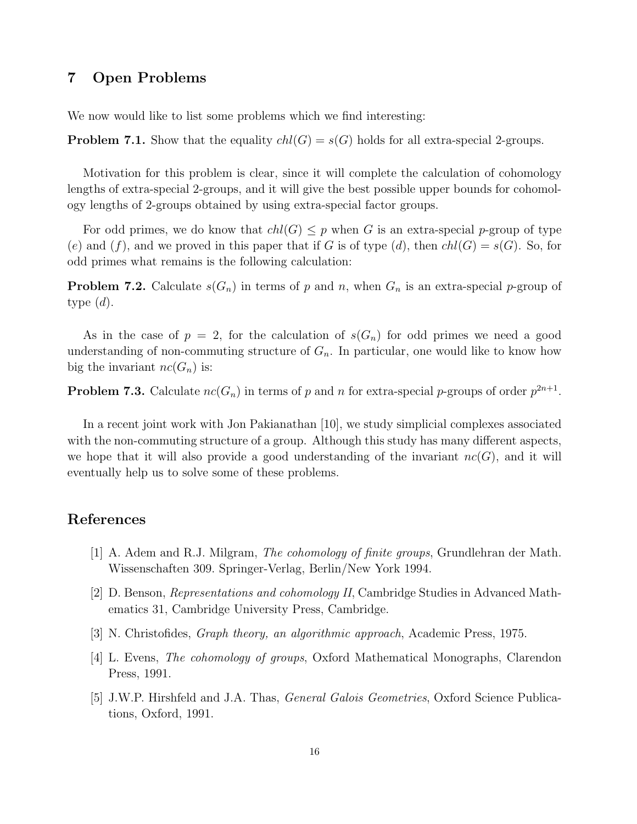## 7 Open Problems

We now would like to list some problems which we find interesting:

**Problem 7.1.** Show that the equality  $ch(G) = s(G)$  holds for all extra-special 2-groups.

Motivation for this problem is clear, since it will complete the calculation of cohomology lengths of extra-special 2-groups, and it will give the best possible upper bounds for cohomology lengths of 2-groups obtained by using extra-special factor groups.

For odd primes, we do know that  $ch(G) \leq p$  when G is an extra-special p-group of type (e) and (f), and we proved in this paper that if G is of type (d), then  $ch(G) = s(G)$ . So, for odd primes what remains is the following calculation:

**Problem 7.2.** Calculate  $s(G_n)$  in terms of p and n, when  $G_n$  is an extra-special p-group of type  $(d)$ .

As in the case of  $p = 2$ , for the calculation of  $s(G_n)$  for odd primes we need a good understanding of non-commuting structure of  $G_n$ . In particular, one would like to know how big the invariant  $nc(G_n)$  is:

**Problem 7.3.** Calculate  $nc(G_n)$  in terms of p and n for extra-special p-groups of order  $p^{2n+1}$ .

In a recent joint work with Jon Pakianathan [10], we study simplicial complexes associated with the non-commuting structure of a group. Although this study has many different aspects, we hope that it will also provide a good understanding of the invariant  $nc(G)$ , and it will eventually help us to solve some of these problems.

# References

- [1] A. Adem and R.J. Milgram, The cohomology of finite groups, Grundlehran der Math. Wissenschaften 309. Springer-Verlag, Berlin/New York 1994.
- [2] D. Benson, Representations and cohomology II, Cambridge Studies in Advanced Mathematics 31, Cambridge University Press, Cambridge.
- [3] N. Christofides, Graph theory, an algorithmic approach, Academic Press, 1975.
- [4] L. Evens, The cohomology of groups, Oxford Mathematical Monographs, Clarendon Press, 1991.
- [5] J.W.P. Hirshfeld and J.A. Thas, *General Galois Geometries*, Oxford Science Publications, Oxford, 1991.